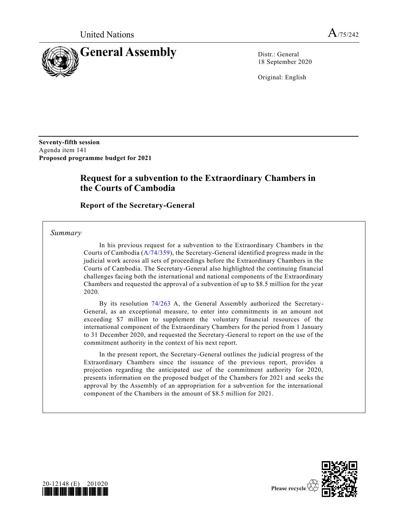

18 September 2020

Original: English

**Seventy-fifth session**  Agenda item 141 **Proposed programme budget for 2021**

## **Request for a subvention to the Extraordinary Chambers in the Courts of Cambodia**

**Report of the Secretary-General**

*Summary*

In his previous request for a subvention to the Extraordinary Chambers in the Courts of Cambodia [\(A/74/359\)](https://undocs.org/en/A/74/359), the Secretary-General identified progress made in the judicial work across all sets of proceedings before the Extraordinary Chambers in the Courts of Cambodia. The Secretary-General also highlighted the continuing financial challenges facing both the international and national components of the Extraordinary Chambers and requested the approval of a subvention of up to \$8.5 million for the year 2020.

By its resolution [74/263](https://undocs.org/en/A/RES/74/263) A, the General Assembly authorized the Secretary-General, as an exceptional measure, to enter into commitments in an amount not exceeding \$7 million to supplement the voluntary financial resources of the international component of the Extraordinary Chambers for the period from 1 January to 31 December 2020, and requested the Secretary-General to report on the use of the commitment authority in the context of his next report.

In the present report, the Secretary-General outlines the judicial progress of the Extraordinary Chambers since the issuance of the previous report, provides a projection regarding the anticipated use of the commitment authority for 2020, presents information on the proposed budget of the Chambers for 2021 and seeks the approval by the Assembly of an appropriation for a subvention for the international component of the Chambers in the amount of \$8.5 million for 2021.



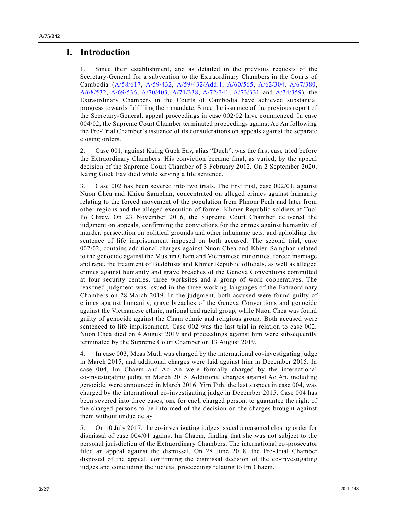## **I. Introduction**

1. Since their establishment, and as detailed in the previous requests of the Secretary-General for a subvention to the Extraordinary Chambers in the Courts of Cambodia [\(A/58/617,](https://undocs.org/en/A/58/617) [A/59/432,](https://undocs.org/en/A/59/432) [A/59/432/Add.1,](https://undocs.org/en/A/59/432/Add.1) [A/60/565,](https://undocs.org/en/A/60/565) [A/62/304,](https://undocs.org/en/A/62/304) [A/67/380,](https://undocs.org/en/A/67/380) [A/68/532,](https://undocs.org/en/A/68/532) [A/69/536,](https://undocs.org/en/A/69/536) [A/70/403,](https://undocs.org/en/A/70/403) [A/71/338,](https://undocs.org/en/A/71/338) [A/72/341,](https://undocs.org/en/A/72/341) [A/73/331](https://undocs.org/en/A/73/331) and [A/74/359\)](https://undocs.org/en/A/74/359), the Extraordinary Chambers in the Courts of Cambodia have achieved substantial progress towards fulfilling their mandate. Since the issuance of the previous report of the Secretary-General, appeal proceedings in case 002/02 have commenced. In case 004/02, the Supreme Court Chamber terminated proceedings against Ao An following the Pre-Trial Chamber's issuance of its considerations on appeals against the separate closing orders.

2. Case 001, against Kaing Guek Eav, alias "Duch", was the first case tried before the Extraordinary Chambers. His conviction became final, as varied, by the appeal decision of the Supreme Court Chamber of 3 February 2012. On 2 September 2020, Kaing Guek Eav died while serving a life sentence.

3. Case 002 has been severed into two trials. The first trial, case 002/01, against Nuon Chea and Khieu Samphan, concentrated on alleged crimes against humanity relating to the forced movement of the population from Phnom Penh and later from other regions and the alleged execution of former Khmer Republic soldiers at Tuol Po Chrey. On 23 November 2016, the Supreme Court Chamber delivered the judgment on appeals, confirming the convictions for the crimes against humanity of murder, persecution on political grounds and other inhumane acts, and upholding the sentence of life imprisonment imposed on both accused. The second trial, case 002/02, contains additional charges against Nuon Chea and Khieu Samphan related to the genocide against the Muslim Cham and Vietnamese minorities, forced marriage and rape, the treatment of Buddhists and Khmer Republic officials, as well as alleged crimes against humanity and grave breaches of the Geneva Conventions committed at four security centres, three worksites and a group of work cooperatives. The reasoned judgment was issued in the three working languages of the Extraordinary Chambers on 28 March 2019. In the judgment, both accused were found guilty of crimes against humanity, grave breaches of the Geneva Conventions and genocide against the Vietnamese ethnic, national and racial group, while Nuon Chea was found guilty of genocide against the Cham ethnic and religious group. Both accused were sentenced to life imprisonment. Case 002 was the last trial in relation to case 002. Nuon Chea died on 4 August 2019 and proceedings against him were subsequently terminated by the Supreme Court Chamber on 13 August 2019.

4. In case 003, Meas Muth was charged by the international co-investigating judge in March 2015, and additional charges were laid against him in December 2015. In case 004, Im Chaem and Ao An were formally charged by the international co-investigating judge in March 2015. Additional charges against Ao An, including genocide, were announced in March 2016. Yim Tith, the last suspect in case 004, was charged by the international co-investigating judge in December 2015. Case 004 has been severed into three cases, one for each charged person, to guarantee the right of the charged persons to be informed of the decision on the charges brought against them without undue delay.

5. On 10 July 2017, the co-investigating judges issued a reasoned closing order for dismissal of case 004/01 against Im Chaem, finding that she was not subject to the personal jurisdiction of the Extraordinary Chambers. The international co-prosecutor filed an appeal against the dismissal. On 28 June 2018, the Pre-Trial Chamber disposed of the appeal, confirming the dismissal decision of the co-investigating judges and concluding the judicial proceedings relating to Im Chaem.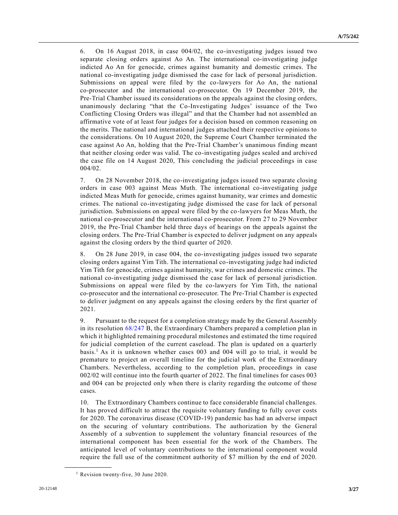6. On 16 August 2018, in case 004/02, the co-investigating judges issued two separate closing orders against Ao An. The international co-investigating judge indicted Ao An for genocide, crimes against humanity and domestic crimes. The national co-investigating judge dismissed the case for lack of personal jurisdiction. Submissions on appeal were filed by the co-lawyers for Ao An, the national co-prosecutor and the international co-prosecutor. On 19 December 2019, the Pre-Trial Chamber issued its considerations on the appeals against the closing orders, unanimously declaring "that the Co-Investigating Judges' issuance of the Two Conflicting Closing Orders was illegal" and that the Chamber had not assembled an affirmative vote of at least four judges for a decision based on common reasoning on the merits. The national and international judges attached their respective opinions to the considerations. On 10 August 2020, the Supreme Court Chamber terminated the case against Ao An, holding that the Pre-Trial Chamber's unanimous finding meant that neither closing order was valid. The co-investigating judges sealed and archived the case file on 14 August 2020, This concluding the judicial proceedings in case 004/02.

7. On 28 November 2018, the co-investigating judges issued two separate closing orders in case 003 against Meas Muth. The international co-investigating judge indicted Meas Muth for genocide, crimes against humanity, war crimes and domestic crimes. The national co-investigating judge dismissed the case for lack of personal jurisdiction. Submissions on appeal were filed by the co-lawyers for Meas Muth, the national co-prosecutor and the international co-prosecutor. From 27 to 29 November 2019, the Pre-Trial Chamber held three days of hearings on the appeals against the closing orders. The Pre-Trial Chamber is expected to deliver judgment on any appeals against the closing orders by the third quarter of 2020.

8. On 28 June 2019, in case 004, the co-investigating judges issued two separate closing orders against Yim Tith. The international co-investigating judge had indicted Yim Tith for genocide, crimes against humanity, war crimes and domestic crimes. The national co-investigating judge dismissed the case for lack of personal jurisdiction. Submissions on appeal were filed by the co-lawyers for Yim Tith, the national co-prosecutor and the international co-prosecutor. The Pre-Trial Chamber is expected to deliver judgment on any appeals against the closing orders by the first quarter of 2021.

9. Pursuant to the request for a completion strategy made by the General Assembly in its resolution [68/247](https://undocs.org/en/A/RES/68/247B) B, the Extraordinary Chambers prepared a completion plan in which it highlighted remaining procedural milestones and estimated the time required for judicial completion of the current caseload. The plan is updated on a quarterly basis.<sup>1</sup> As it is unknown whether cases 003 and 004 will go to trial, it would be premature to project an overall timeline for the judicial work of the Extraordinary Chambers. Nevertheless, according to the completion plan, proceedings in case 002/02 will continue into the fourth quarter of 2022. The final timelines for cases 003 and 004 can be projected only when there is clarity regarding the outcome of those cases.

10. The Extraordinary Chambers continue to face considerable financial challenges. It has proved difficult to attract the requisite voluntary funding to fully cover costs for 2020. The coronavirus disease (COVID-19) pandemic has had an adverse impact on the securing of voluntary contributions. The authorization by the General Assembly of a subvention to supplement the voluntary financial resources of the international component has been essential for the work of the Chambers. The anticipated level of voluntary contributions to the international component would require the full use of the commitment authority of \$7 million by the end of 2020.

**\_\_\_\_\_\_\_\_\_\_\_\_\_\_\_\_\_\_**

<sup>&</sup>lt;sup>1</sup> Revision twenty-five, 30 June 2020.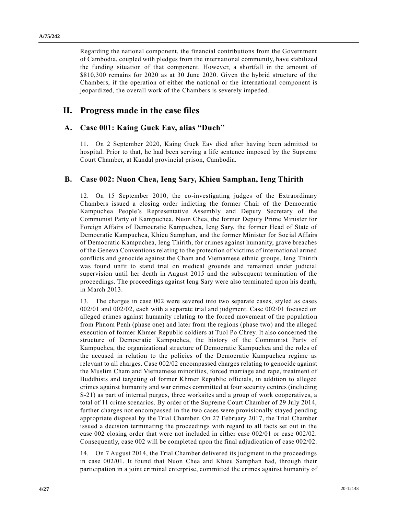Regarding the national component, the financial contributions from the Government of Cambodia, coupled with pledges from the international community, have stabilized the funding situation of that component. However, a shortfall in the amount of \$810,300 remains for 2020 as at 30 June 2020. Given the hybrid structure of the Chambers, if the operation of either the national or the international component is jeopardized, the overall work of the Chambers is severely impeded.

## **II. Progress made in the case files**

### **A. Case 001: Kaing Guek Eav, alias "Duch"**

11. On 2 September 2020, Kaing Guek Eav died after having been admitted to hospital. Prior to that, he had been serving a life sentence imposed by the Supreme Court Chamber, at Kandal provincial prison, Cambodia.

### **B. Case 002: Nuon Chea, Ieng Sary, Khieu Samphan, Ieng Thirith**

12. On 15 September 2010, the co-investigating judges of the Extraordinary Chambers issued a closing order indicting the former Chair of the Democratic Kampuchea People's Representative Assembly and Deputy Secretary of the Communist Party of Kampuchea, Nuon Chea, the former Deputy Prime Minister for Foreign Affairs of Democratic Kampuchea, Ieng Sary, the former Head of State of Democratic Kampuchea, Khieu Samphan, and the former Minister for Soc ial Affairs of Democratic Kampuchea, Ieng Thirith, for crimes against humanity, grave breaches of the Geneva Conventions relating to the protection of victims of international armed conflicts and genocide against the Cham and Vietnamese ethnic groups. Ieng Thirith was found unfit to stand trial on medical grounds and remained under judicial supervision until her death in August 2015 and the subsequent termination of the proceedings. The proceedings against Ieng Sary were also terminated upon his death, in March 2013.

13. The charges in case 002 were severed into two separate cases, styled as cases 002/01 and 002/02, each with a separate trial and judgment. Case 002/01 focused on alleged crimes against humanity relating to the forced movement of the populatio n from Phnom Penh (phase one) and later from the regions (phase two) and the alleged execution of former Khmer Republic soldiers at Tuol Po Chrey. It also concerned the structure of Democratic Kampuchea, the history of the Communist Party of Kampuchea, the organizational structure of Democratic Kampuchea and the roles of the accused in relation to the policies of the Democratic Kampuchea regime as relevant to all charges. Case 002/02 encompassed charges relating to genocide against the Muslim Cham and Vietnamese minorities, forced marriage and rape, treatment of Buddhists and targeting of former Khmer Republic officials, in addition to alleged crimes against humanity and war crimes committed at four security centres (including S-21) as part of internal purges, three worksites and a group of work cooperatives, a total of 11 crime scenarios. By order of the Supreme Court Chamber of 29 July 2014, further charges not encompassed in the two cases were provisionally stayed pending appropriate disposal by the Trial Chamber. On 27 February 2017, the Trial Chamber issued a decision terminating the proceedings with regard to all facts set out in the case 002 closing order that were not included in either case 002/01 or case 002/02. Consequently, case 002 will be completed upon the final adjudication of case 002/02.

14. On 7 August 2014, the Trial Chamber delivered its judgment in the proceedings in case 002/01. It found that Nuon Chea and Khieu Samphan had, through their participation in a joint criminal enterprise, committed the crimes against humanity of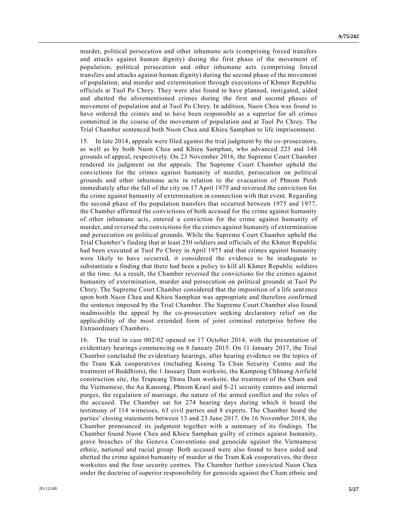murder, political persecution and other inhumane acts (comprising forced transfers and attacks against human dignity) during the first phase of the movement of population; political persecution and other inhumane acts (comprising forced transfers and attacks against human dignity) during the second phase of the movement of population; and murder and extermination through executions of Khmer Republic officials at Tuol Po Chrey. They were also found to have planned, instigated, aided and abetted the aforementioned crimes during the first and second phases of movement of population and at Tuol Po Chrey. In addition, Nuon Chea was found to have ordered the crimes and to have been responsible as a superior for all crimes committed in the course of the movement of population and at Tuol Po Chrey. The Trial Chamber sentenced both Nuon Chea and Khieu Samphan to life imprisonment.

15. In late 2014, appeals were filed against the trial judgment by the co-prosecutors, as well as by both Nuon Chea and Khieu Samphan, who advanced 223 and 148 grounds of appeal, respectively. On 23 November 2016, the Supreme Court Chamber rendered its judgment on the appeals. The Supreme Court Chamber upheld the convictions for the crimes against humanity of murder, persecution on political grounds and other inhumane acts in relation to the evacuation of Phnom Penh immediately after the fall of the city on 17 April 1975 and reversed the conviction for the crime against humanity of extermination in connection with that event. Regarding the second phase of the population transfers that occurred between 1975 and 1977, the Chamber affirmed the convictions of both accused for the crime against humanity of other inhumane acts, entered a conviction for the crime against humanity of murder, and reversed the convictions for the crimes against humanity of extermination and persecution on political grounds. While the Supreme Court Chamber upheld the Trial Chamber's finding that at least 250 soldiers and officials of the Khmer Republic had been executed at Tuol Po Chrey in April 1975 and that crimes against humanity were likely to have occurred, it considered the evidence to be inadequate to substantiate a finding that there had been a policy to kill all Khmer Republic soldiers at the time. As a result, the Chamber reversed the convictions for the crimes against humanity of extermination, murder and persecution on political grounds at Tuol Po Chrey. The Supreme Court Chamber considered that the imposition of a life sentence upon both Nuon Chea and Khieu Samphan was appropriate and therefore confirmed the sentence imposed by the Trial Chamber. The Supreme Court Chamber also found inadmissible the appeal by the co-prosecutors seeking declaratory relief on the applicability of the most extended form of joint criminal enterprise before the Extraordinary Chambers.

16. The trial in case 002/02 opened on 17 October 2014, with the presentation of evidentiary hearings commencing on 8 January 2015. On 11 January 2017, the Trial Chamber concluded the evidentiary hearings, after hearing evidence on the topics of the Tram Kak cooperatives (including Kraing Ta Chan Security Centre and the treatment of Buddhists), the 1 January Dam worksite, the Kampong Chhnang Airfield construction site, the Trapeang Thma Dam worksite, the treatment of the Cham and the Vietnamese, the Au Kanseng, Phnom Kraol and S-21 security centres and internal purges, the regulation of marriage, the nature of the armed conflict and the roles of the accused. The Chamber sat for 274 hearing days during which it heard the testimony of 114 witnesses, 63 civil parties and 8 experts. The Chamber heard the parties' closing statements between 13 and 23 June 2017. On 16 November 2018, the Chamber pronounced its judgment together with a summary of its findings. The Chamber found Nuon Chea and Khieu Samphan guilty of crimes against humanity, grave breaches of the Geneva Conventions and genocide against the Vietnamese ethnic, national and racial group. Both accused were also found to have aided and abetted the crime against humanity of murder at the Tram Kak cooperatives, the three worksites and the four security centres. The Chamber further convicted Nuon Chea under the doctrine of superior responsibility for genocide against the Cham ethnic and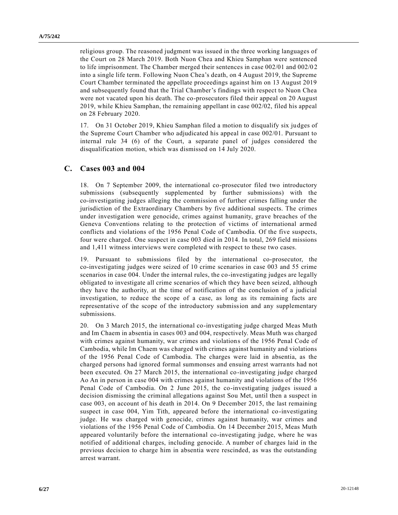religious group. The reasoned judgment was issued in the three working languages of the Court on 28 March 2019. Both Nuon Chea and Khieu Samphan were sentenced to life imprisonment. The Chamber merged their sentences in case 002/01 and 002/02 into a single life term. Following Nuon Chea's death, on 4 August 2019, the Supreme Court Chamber terminated the appellate proceedings against him on 13 August 2019 and subsequently found that the Trial Chamber's findings with respect to Nuon Chea were not vacated upon his death. The co-prosecutors filed their appeal on 20 August 2019, while Khieu Samphan, the remaining appellant in case 002/02, filed his appeal on 28 February 2020.

17. On 31 October 2019, Khieu Samphan filed a motion to disqualify six judges of the Supreme Court Chamber who adjudicated his appeal in case 002/01. Pursuant to internal rule 34 (6) of the Court, a separate panel of judges considered the disqualification motion, which was dismissed on 14 July 2020.

### **C. Cases 003 and 004**

18. On 7 September 2009, the international co-prosecutor filed two introductory submissions (subsequently supplemented by further submissions) with the co-investigating judges alleging the commission of further crimes falling under the jurisdiction of the Extraordinary Chambers by five additional suspects. The crimes under investigation were genocide, crimes against humanity, grave breaches of the Geneva Conventions relating to the protection of victims of international armed conflicts and violations of the 1956 Penal Code of Cambodia. Of the five suspects, four were charged. One suspect in case 003 died in 2014. In total, 269 field missions and 1,411 witness interviews were completed with respect to these two cases.

19. Pursuant to submissions filed by the international co-prosecutor, the co-investigating judges were seized of 10 crime scenarios in case 003 and 55 crime scenarios in case 004. Under the internal rules, the co-investigating judges are legally obligated to investigate all crime scenarios of which they have been seized, although they have the authority, at the time of notification of the conclusion of a judicial investigation, to reduce the scope of a case, as long as its remaining facts are representative of the scope of the introductory submission and any supplementary submissions.

20. On 3 March 2015, the international co-investigating judge charged Meas Muth and Im Chaem in absentia in cases 003 and 004, respectively. Meas Muth was charged with crimes against humanity, war crimes and violations of the 1956 Penal Code of Cambodia, while Im Chaem was charged with crimes against humanity and violations of the 1956 Penal Code of Cambodia. The charges were laid in absentia, as the charged persons had ignored formal summonses and ensuing arrest warrants had not been executed. On 27 March 2015, the international co-investigating judge charged Ao An in person in case 004 with crimes against humanity and violations of the 1956 Penal Code of Cambodia. On 2 June 2015, the co-investigating judges issued a decision dismissing the criminal allegations against Sou Met, until then a suspect in case 003, on account of his death in 2014. On 9 December 2015, the last remaining suspect in case 004, Yim Tith, appeared before the international co-investigating judge. He was charged with genocide, crimes against humanity, war crimes and violations of the 1956 Penal Code of Cambodia. On 14 December 2015, Meas Muth appeared voluntarily before the international co-investigating judge, where he was notified of additional charges, including genocide. A number of charges laid in the previous decision to charge him in absentia were rescinded, as was the outstanding arrest warrant.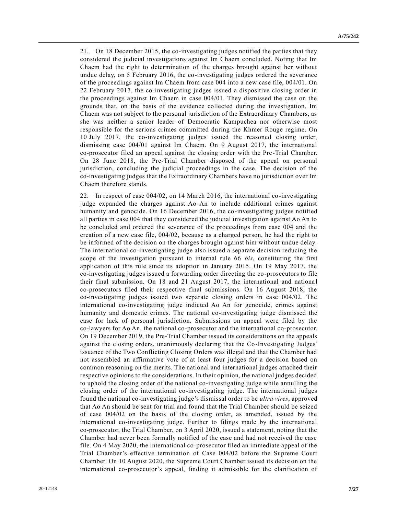21. On 18 December 2015, the co-investigating judges notified the parties that they considered the judicial investigations against Im Chaem concluded. Noting that Im Chaem had the right to determination of the charges brought against her without undue delay, on 5 February 2016, the co-investigating judges ordered the severance of the proceedings against Im Chaem from case 004 into a new case file, 004/01. On 22 February 2017, the co-investigating judges issued a dispositive closing order in the proceedings against Im Chaem in case 004/01. They dismissed the case on the grounds that, on the basis of the evidence collected during the investigation, Im Chaem was not subject to the personal jurisdiction of the Extraordinary Chambers, as she was neither a senior leader of Democratic Kampuchea nor otherwise most responsible for the serious crimes committed during the Khmer Rouge regime. On 10 July 2017, the co-investigating judges issued the reasoned closing order, dismissing case 004/01 against Im Chaem. On 9 August 2017, the international co-prosecutor filed an appeal against the closing order with the Pre -Trial Chamber. On 28 June 2018, the Pre-Trial Chamber disposed of the appeal on personal jurisdiction, concluding the judicial proceedings in the case. The decision of the co-investigating judges that the Extraordinary Chambers have no jurisdiction over Im Chaem therefore stands.

22. In respect of case 004/02, on 14 March 2016, the international co-investigating judge expanded the charges against Ao An to include additional crimes against humanity and genocide. On 16 December 2016, the co-investigating judges notified all parties in case 004 that they considered the judicial investigation against Ao An to be concluded and ordered the severance of the proceedings from case 004 and the creation of a new case file,  $004/02$ , because as a charged person, he had the right to be informed of the decision on the charges brought against him without undue delay. The international co-investigating judge also issued a separate decision reducing the scope of the investigation pursuant to internal rule 66 *bis*, constituting the first application of this rule since its adoption in January 2015. On 19 May 2017, the co-investigating judges issued a forwarding order directing the co-prosecutors to file their final submission. On 18 and 21 August 2017, the international and nationa l co-prosecutors filed their respective final submissions. On 16 August 2018, the co-investigating judges issued two separate closing orders in case 004/02. The international co-investigating judge indicted Ao An for genocide, crimes against humanity and domestic crimes. The national co-investigating judge dismissed the case for lack of personal jurisdiction. Submissions on appeal were filed by the co-lawyers for Ao An, the national co-prosecutor and the international co-prosecutor. On 19 December 2019, the Pre-Trial Chamber issued its considerations on the appeals against the closing orders, unanimously declaring that the Co-Investigating Judges' issuance of the Two Conflicting Closing Orders was illegal and that the Chamber had not assembled an affirmative vote of at least four judges for a decision based on common reasoning on the merits. The national and international judges attached their respective opinions to the considerations. In their opinion, the national judges decided to uphold the closing order of the national co-investigating judge while annulling the closing order of the international co-investigating judge. The international judges found the national co-investigating judge's dismissal order to be *ultra vires*, approved that Ao An should be sent for trial and found that the Trial Chamber should be seized of case 004/02 on the basis of the closing order, as amended, issued by the international co-investigating judge. Further to filings made by the international co-prosecutor, the Trial Chamber, on 3 April 2020, issued a statement, noting that the Chamber had never been formally notified of the case and had not received the case file. On 4 May 2020, the international co-prosecutor filed an immediate appeal of the Trial Chamber's effective termination of Case 004/02 before the Supreme Court Chamber. On 10 August 2020, the Supreme Court Chamber issued its decision on the international co-prosecutor's appeal, finding it admissible for the clarification of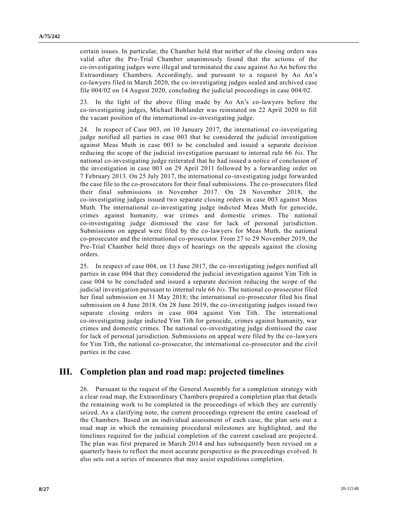certain issues. In particular, the Chamber held that neither of the closing orders was valid after the Pre-Trial Chamber unanimously found that the actions of the co-investigating judges were illegal and terminated the case against Ao An before the Extraordinary Chambers. Accordingly, and pursuant to a request by Ao An's co-lawyers filed in March 2020, the co-investigating judges sealed and archived case file 004/02 on 14 August 2020, concluding the judicial proceedings in case 004/02.

23. In the light of the above filing made by Ao An's co-lawyers before the co-investigating judges, Michael Bohlander was reinstated on 22 April 2020 to fill the vacant position of the international co-investigating judge.

24. In respect of Case 003, on 10 January 2017, the international co-investigating judge notified all parties in case 003 that he considered the judicial investigation against Meas Muth in case 003 to be concluded and issued a separate decision reducing the scope of the judicial investigation pursuant to internal rule 66 *bis*. The national co-investigating judge reiterated that he had issued a notice of conclusion of the investigation in case 003 on 29 April 2011 followed by a forwarding order on 7 February 2013. On 25 July 2017, the international co-investigating judge forwarded the case file to the co-prosecutors for their final submissions. The co-prosecutors filed their final submissions in November 2017. On 28 November 2018, the co-investigating judges issued two separate closing orders in case 003 against Meas Muth. The international co-investigating judge indicted Meas Muth for genocide, crimes against humanity, war crimes and domestic crimes. The national co-investigating judge dismissed the case for lack of personal jurisdiction. Submissions on appeal were filed by the co-lawyers for Meas Muth, the national co-prosecutor and the international co-prosecutor. From 27 to 29 November 2019, the Pre-Trial Chamber held three days of hearings on the appeals against the closing orders.

25. In respect of case 004, on 13 June 2017, the co-investigating judges notified all parties in case 004 that they considered the judicial investigation against Yim Tith in case 004 to be concluded and issued a separate decision reducing the scope of the judicial investigation pursuant to internal rule 66 *bis*. The national co-prosecutor filed her final submission on 31 May 2018; the international co-prosecutor filed his final submission on 4 June 2018. On 28 June 2019, the co-investigating judges issued two separate closing orders in case 004 against Yim Tith. The international co-investigating judge indicted Yim Tith for genocide, crimes against humanity, war crimes and domestic crimes. The national co-investigating judge dismissed the case for lack of personal jurisdiction. Submissions on appeal were filed by the co-lawyers for Yim Tith, the national co-prosecutor, the international co-prosecutor and the civil parties in the case.

## **III. Completion plan and road map: projected timelines**

26. Pursuant to the request of the General Assembly for a completion strategy with a clear road map, the Extraordinary Chambers prepared a completion plan that details the remaining work to be completed in the proceedings of which they are currently seized. As a clarifying note, the current proceedings represent the entire caseload of the Chambers. Based on an individual assessment of each case, the plan sets out a road map in which the remaining procedural milestones are highlighted, and the timelines required for the judicial completion of the current caseload are projecte d. The plan was first prepared in March 2014 and has subsequently been revised on a quarterly basis to reflect the most accurate perspective as the proceedings evolved. It also sets out a series of measures that may assist expeditious completion.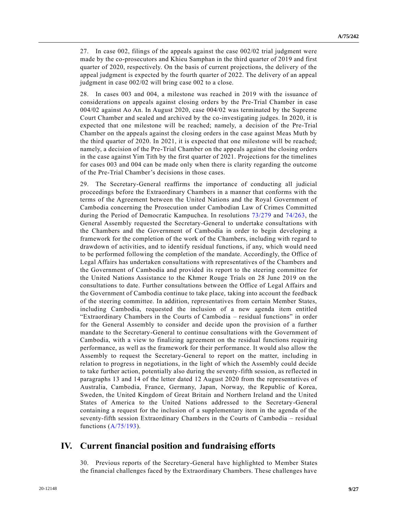27. In case 002, filings of the appeals against the case 002/02 trial judgment were made by the co-prosecutors and Khieu Samphan in the third quarter of 2019 and first quarter of 2020, respectively. On the basis of current projections, the delivery of the appeal judgment is expected by the fourth quarter of 2022. The delivery of an appeal judgment in case 002/02 will bring case 002 to a close.

28. In cases 003 and 004, a milestone was reached in 2019 with the issuance of considerations on appeals against closing orders by the Pre-Trial Chamber in case 004/02 against Ao An. In August 2020, case 004/02 was terminated by the Supreme Court Chamber and sealed and archived by the co-investigating judges. In 2020, it is expected that one milestone will be reached; namely, a decision of the Pre-Trial Chamber on the appeals against the closing orders in the case against Meas Muth by the third quarter of 2020. In 2021, it is expected that one milestone will be reached; namely, a decision of the Pre-Trial Chamber on the appeals against the closing orders in the case against Yim Tith by the first quarter of 2021. Projections for the timelines for cases 003 and 004 can be made only when there is clarity regarding the outcome of the Pre-Trial Chamber's decisions in those cases.

29. The Secretary-General reaffirms the importance of conducting all judicial proceedings before the Extraordinary Chambers in a manner that conforms with the terms of the Agreement between the United Nations and the Royal Government of Cambodia concerning the Prosecution under Cambodian Law of Crimes Committed during the Period of Democratic Kampuchea. In resolutions [73/279](https://undocs.org/en/A/RES/73/279) and [74/263,](https://undocs.org/en/A/RES/74/263) the General Assembly requested the Secretary-General to undertake consultations with the Chambers and the Government of Cambodia in order to begin developing a framework for the completion of the work of the Chambers, including with regard to drawdown of activities, and to identify residual functions, if any, which would need to be performed following the completion of the mandate. Accordingly, the Office of Legal Affairs has undertaken consultations with representatives of the Chambers and the Government of Cambodia and provided its report to the steering committee for the United Nations Assistance to the Khmer Rouge Trials on 28 June 2019 on the consultations to date. Further consultations between the Office of Legal Affairs and the Government of Cambodia continue to take place, taking into account the feedback of the steering committee. In addition, representatives from certain Member States, including Cambodia, requested the inclusion of a new agenda item entitled "Extraordinary Chambers in the Courts of Cambodia – residual functions" in order for the General Assembly to consider and decide upon the provision of a further mandate to the Secretary-General to continue consultations with the Government of Cambodia, with a view to finalizing agreement on the residual functions requiring performance, as well as the framework for their performance. It would also allow the Assembly to request the Secretary-General to report on the matter, including in relation to progress in negotiations, in the light of which the Assembly could decide to take further action, potentially also during the seventy-fifth session, as reflected in paragraphs 13 and 14 of the letter dated 12 August 2020 from the representatives of Australia, Cambodia, France, Germany, Japan, Norway, the Republic of Korea, Sweden, the United Kingdom of Great Britain and Northern Ireland and the United States of America to the United Nations addressed to the Secretary-General containing a request for the inclusion of a supplementary item in the agenda of the seventy-fifth session Extraordinary Chambers in the Courts of Cambodia – residual functions [\(A/75/193\)](https://undocs.org/en/A/75/193).

## **IV. Current financial position and fundraising efforts**

30. Previous reports of the Secretary-General have highlighted to Member States the financial challenges faced by the Extraordinary Chambers. These challenges have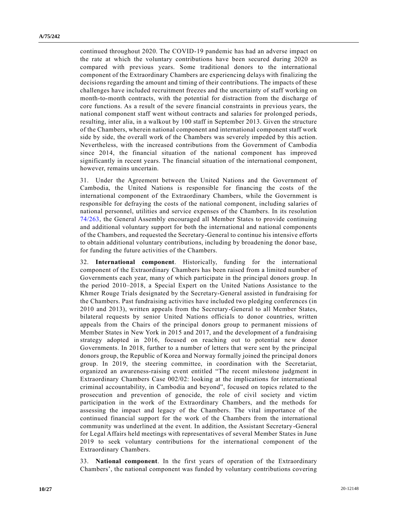continued throughout 2020. The COVID-19 pandemic has had an adverse impact on the rate at which the voluntary contributions have been secured during 2020 as compared with previous years. Some traditional donors to the international component of the Extraordinary Chambers are experiencing delays with finalizing the decisions regarding the amount and timing of their contributions. The impacts of these challenges have included recruitment freezes and the uncertainty of staff working on month-to-month contracts, with the potential for distraction from the discharge of core functions. As a result of the severe financial constraints in previous years, the national component staff went without contracts and salaries for prolonged periods, resulting, inter alia, in a walkout by 100 staff in September 2013. Given the structure of the Chambers, wherein national component and international component staff work side by side, the overall work of the Chambers was severely impeded by this action. Nevertheless, with the increased contributions from the Government of Cambodia since 2014, the financial situation of the national component has improved significantly in recent years. The financial situation of the international component, however, remains uncertain.

31. Under the Agreement between the United Nations and the Government of Cambodia, the United Nations is responsible for financing the costs of the international component of the Extraordinary Chambers, while the Government is responsible for defraying the costs of the national component, including salaries of national personnel, utilities and service expenses of the Chambers. In its resolution [74/263,](https://undocs.org/en/A/RES/74/263) the General Assembly encouraged all Member States to provide continuing and additional voluntary support for both the international and national components of the Chambers, and requested the Secretary-General to continue his intensive efforts to obtain additional voluntary contributions, including by broadening the donor base, for funding the future activities of the Chambers.

32. **International component**. Historically, funding for the international component of the Extraordinary Chambers has been raised from a limited number of Governments each year, many of which participate in the principal donors group. In the period 2010–2018, a Special Expert on the United Nations Assistance to the Khmer Rouge Trials designated by the Secretary-General assisted in fundraising for the Chambers. Past fundraising activities have included two pledging conferences (in 2010 and 2013), written appeals from the Secretary-General to all Member States, bilateral requests by senior United Nations officials to donor countries, written appeals from the Chairs of the principal donors group to permanent missions of Member States in New York in 2015 and 2017, and the development of a fundraising strategy adopted in 2016, focused on reaching out to potential new donor Governments. In 2018, further to a number of letters that were sent by the principal donors group, the Republic of Korea and Norway formally joined the principal donors group. In 2019, the steering committee, in coordination with the Secretariat, organized an awareness-raising event entitled "The recent milestone judgment in Extraordinary Chambers Case 002/02: looking at the implications for international criminal accountability, in Cambodia and beyond", focused on topics related to the prosecution and prevention of genocide, the role of civil society and victim participation in the work of the Extraordinary Chambers, and the methods for assessing the impact and legacy of the Chambers. The vital importance of the continued financial support for the work of the Chambers from the international community was underlined at the event. In addition, the Assistant Secretary-General for Legal Affairs held meetings with representatives of several Member States in June 2019 to seek voluntary contributions for the international component of the Extraordinary Chambers.

33. **National component**. In the first years of operation of the Extraordinary Chambers', the national component was funded by voluntary contributions covering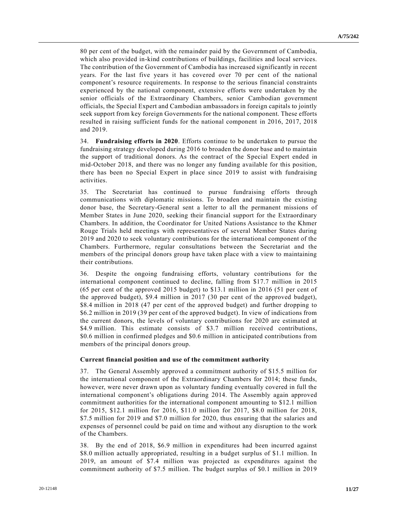80 per cent of the budget, with the remainder paid by the Government of Cambodia, which also provided in-kind contributions of buildings, facilities and local services. The contribution of the Government of Cambodia has increased significantly in recent years. For the last five years it has covered over 70 per cent of the national component's resource requirements. In response to the serious financial constraints experienced by the national component, extensive efforts were undertaken by the senior officials of the Extraordinary Chambers, senior Cambodian government officials, the Special Expert and Cambodian ambassadors in foreign capitals to jointly seek support from key foreign Governments for the national component. These efforts resulted in raising sufficient funds for the national component in 2016, 2017, 2018 and 2019.

34. **Fundraising efforts in 2020**. Efforts continue to be undertaken to pursue the fundraising strategy developed during 2016 to broaden the donor base and to maintain the support of traditional donors. As the contract of the Special Expert ended in mid-October 2018, and there was no longer any funding available for this position, there has been no Special Expert in place since 2019 to assist with fundraising activities.

35. The Secretariat has continued to pursue fundraising efforts through communications with diplomatic missions. To broaden and maintain the existing donor base, the Secretary-General sent a letter to all the permanent missions of Member States in June 2020, seeking their financial support for the Extraordinary Chambers. In addition, the Coordinator for United Nations Assistance to the Khmer Rouge Trials held meetings with representatives of several Member States during 2019 and 2020 to seek voluntary contributions for the international component of the Chambers. Furthermore, regular consultations between the Secretariat and the members of the principal donors group have taken place with a view to maintaining their contributions.

36. Despite the ongoing fundraising efforts, voluntary contributions for the international component continued to decline, falling from \$17.7 million in 2015 (65 per cent of the approved 2015 budget) to \$13.1 million in 2016 (51 per cent of the approved budget), \$9.4 million in 2017 (30 per cent of the approved budget), \$8.4 million in 2018 (47 per cent of the approved budget) and further dropping to \$6.2 million in 2019 (39 per cent of the approved budget). In view of indications from the current donors, the levels of voluntary contributions for 2020 are estimated at \$4.9 million. This estimate consists of \$3.7 million received contributions, \$0.6 million in confirmed pledges and \$0.6 million in anticipated contributions from members of the principal donors group.

#### **Current financial position and use of the commitment authority**

37. The General Assembly approved a commitment authority of \$15.5 million for the international component of the Extraordinary Chambers for 2014; these funds, however, were never drawn upon as voluntary funding eventually covered in full the international component's obligations during 2014. The Assembly again approved commitment authorities for the international component amounting to \$12.1 million for 2015, \$12.1 million for 2016, \$11.0 million for 2017, \$8.0 million for 2018, \$7.5 million for 2019 and \$7.0 million for 2020, thus ensuring that the salaries and expenses of personnel could be paid on time and without any disruption to the work of the Chambers.

38. By the end of 2018, \$6.9 million in expenditures had been incurred against \$8.0 million actually appropriated, resulting in a budget surplus of \$1.1 million. In 2019, an amount of \$7.4 million was projected as expenditures against the commitment authority of \$7.5 million. The budget surplus of \$0.1 million in 2019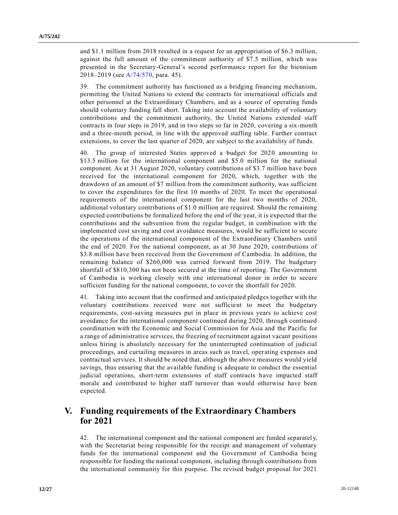and \$1.1 million from 2018 resulted in a request for an appropriation of \$6.3 million, against the full amount of the commitment authority of \$7.5 million, which was presented in the Secretary-General's second performance report for the biennium 2018–2019 (see [A/74/570,](https://undocs.org/en/A/74/570) para. 45).

39. The commitment authority has functioned as a bridging financing mechanism, permitting the United Nations to extend the contracts for international officials and other personnel at the Extraordinary Chambers, and as a source of operating funds should voluntary funding fall short. Taking into account the availability of voluntary contributions and the commitment authority, the United Nations extended staff contracts in four steps in 2019, and in two steps so far in 2020, covering a six-month and a three-month period, in line with the approved staffing table. Further contract extensions, to cover the last quarter of 2020, are subject to the availability of funds.

40. The group of interested States approved a budget for 2020 amounting to \$13.5 million for the international component and \$5.0 million for the national component. As at 31 August 2020, voluntary contributions of \$3.7 million have been received for the international component for 2020, which, together with the drawdown of an amount of \$7 million from the commitment authority, was sufficient to cover the expenditures for the first 10 months of 2020. To meet the operational requirements of the international component for the last two months of 2020, additional voluntary contributions of \$1.0 million are required. Should the remaining expected contributions be formalized before the end of the year, it is expected that the contributions and the subvention from the regular budget, in combination with the implemented cost saving and cost avoidance measures, would be sufficient to secure the operations of the international component of the Extraordinary Chambers until the end of 2020. For the national component, as at 30 June 2020, contributions of \$3.8 million have been received from the Government of Cambodia. In addition, the remaining balance of \$260,000 was carried forward from 2019. The budgetary shortfall of \$810,300 has not been secured at the time of reporting. The Government of Cambodia is working closely with one international donor in order to secure sufficient funding for the national component, to cover the shortfall for 2020.

41. Taking into account that the confirmed and anticipated pledges together with the voluntary contributions received were not sufficient to meet the budgetary requirements, cost-saving measures put in place in previous years to achieve cost avoidance for the international component continued during 2020, through continued coordination with the Economic and Social Commission for Asia and the Pacific for a range of administrative services, the freezing of recruitment against vacant positions unless hiring is absolutely necessary for the uninterrupted continuation of judicial proceedings, and curtailing measures in areas such as travel, oper ating expenses and contractual services. It should be noted that, although the above measures would yield savings, thus ensuring that the available funding is adequate to conduct the essential judicial operations, short-term extensions of staff contracts have impacted staff morale and contributed to higher staff turnover than would otherwise have been expected.

## **V. Funding requirements of the Extraordinary Chambers for 2021**

42. The international component and the national component are funded separately, with the Secretariat being responsible for the receipt and management of voluntary funds for the international component and the Government of Cambodia being responsible for funding the national component, including through contributions from the international community for this purpose. The revised budget proposal for 2021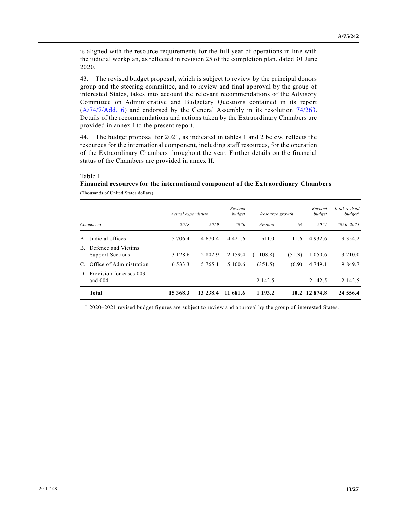is aligned with the resource requirements for the full year of operations in line with the judicial workplan, as reflected in revision 25 of the completion plan, dated 30 June 2020.

43. The revised budget proposal, which is subject to review by the principal donors group and the steering committee, and to review and final approval by the group of interested States, takes into account the relevant recommendations of the Advisory Committee on Administrative and Budgetary Questions contained in its report [\(A/74/7/Add.16\)](https://undocs.org/en/A/74/7/Add.16) and endorsed by the General Assembly in its resolution [74/263.](https://undocs.org/en/A/RES/74/263) Details of the recommendations and actions taken by the Extraordinary Chambers are provided in annex I to the present report.

44. The budget proposal for 2021, as indicated in tables 1 and 2 below, reflects the resources for the international component, including staff resources, for the operation of the Extraordinary Chambers throughout the year. Further details on the financial status of the Chambers are provided in annex II.

#### Table 1

# **Financial resources for the international component of the Extraordinary Chambers**

|                |                                                | Actual expenditure |             | Revised<br>budget        | Resource growth |                          | Revised<br>budget | Total revised<br>budget <sup>a</sup> |
|----------------|------------------------------------------------|--------------------|-------------|--------------------------|-----------------|--------------------------|-------------------|--------------------------------------|
| Component      |                                                | 2018               | 2019        | 2020                     | Amount          | $\%$                     | 2021              | $2020 - 2021$                        |
| $A_{\cdot}$    | Judicial offices                               | 5 706.4            | 4 6 7 0 . 4 | 4 4 2 1 .6               | 511.0           | 11.6                     | 4932.6            | 9 3 5 4 . 2                          |
| $\mathbf{B}$ . | Defence and Victims<br><b>Support Sections</b> | 3 1 2 8 . 6        | 2 802.9     | 2 1 5 9 . 4              | (1108.8)        | (51.3)                   | 1 0 5 0 . 6       | 3 2 1 0 .0                           |
|                | C. Office of Administration                    | 6 5 3 3 . 3        | 5 7 6 5 .1  | 5 100.6                  | (351.5)         | (6.9)                    | 4 7 4 9 .1        | 9 8 4 9 . 7                          |
| D.             | Provision for cases 003<br>and $004$           |                    |             | $\overline{\phantom{0}}$ | 2 142.5         | $\overline{\phantom{0}}$ | 2 142.5           | 2 142.5                              |
|                | <b>Total</b>                                   | 15 368.3           | 13 238.4    | 11 681.6                 | 1 193.2         |                          | 10.2 12 874.8     | 24 5 5 6 . 4                         |

*<sup>a</sup>* 2020–2021 revised budget figures are subject to review and approval by the group of interested States.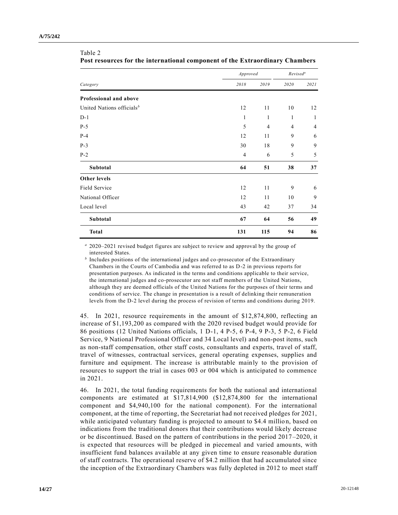|                                       | Approved       | Revised <sup>a</sup> |      |      |
|---------------------------------------|----------------|----------------------|------|------|
| Category                              | 2018           | 2019                 | 2020 | 2021 |
| Professional and above                |                |                      |      |      |
| United Nations officials <sup>b</sup> | 12             | 11                   | 10   | 12   |
| $D-1$                                 | $\mathbf{1}$   | 1                    | 1    | 1    |
| $P-5$                                 | 5              | $\overline{4}$       | 4    | 4    |
| $P-4$                                 | 12             | 11                   | 9    | 6    |
| $P-3$                                 | 30             | 18                   | 9    | 9    |
| $P-2$                                 | $\overline{4}$ | 6                    | 5    | 5    |
| Subtotal                              | 64             | 51                   | 38   | 37   |
| <b>Other levels</b>                   |                |                      |      |      |
| Field Service                         | 12             | 11                   | 9    | 6    |
| National Officer                      | 12             | 11                   | 10   | 9    |
| Local level                           | 43             | 42                   | 37   | 34   |
| Subtotal                              | 67             | 64                   | 56   | 49   |
| <b>Total</b>                          | 131            | 115                  | 94   | 86   |

#### Table 2 **Post resources for the international component of the Extraordinary Chambers**

*<sup>a</sup>* 2020–2021 revised budget figures are subject to review and approval by the group of interested States.

<sup>*b*</sup> Includes positions of the international judges and co-prosecutor of the Extraordinary Chambers in the Courts of Cambodia and was referred to as D-2 in previous reports for presentation purposes. As indicated in the terms and conditions applicable to their service, the international judges and co-prosecutor are not staff members of the United Nations, although they are deemed officials of the United Nations for the purposes of t heir terms and conditions of service. The change in presentation is a result of delinking their remuneration levels from the D-2 level during the process of revision of terms and conditions during 2019.

45. In 2021, resource requirements in the amount of \$12,874,800, reflecting an increase of \$1,193,200 as compared with the 2020 revised budget would provide for 86 positions (12 United Nations officials, 1 D-1, 4 P-5, 6 P-4, 9 P-3, 5 P-2, 6 Field Service, 9 National Professional Officer and 34 Local level) and non-post items, such as non-staff compensation, other staff costs, consultants and experts, travel of staff, travel of witnesses, contractual services, general operating expenses, supplies and furniture and equipment. The increase is attributable mainly to the provision of resources to support the trial in cases 003 or 004 which is anticipated to commence in 2021.

46. In 2021, the total funding requirements for both the national and international components are estimated at \$17,814,900 (\$12,874,800 for the international component and \$4,940,100 for the national component). For the international component, at the time of reporting, the Secretariat had not received pledges for 2021, while anticipated voluntary funding is projected to amount to \$4.4 million, based on indications from the traditional donors that their contributions would likely decrease or be discontinued. Based on the pattern of contributions in the period 2017–2020, it is expected that resources will be pledged in piecemeal and varied amounts, with insufficient fund balances available at any given time to ensure reasonable duration of staff contracts. The operational reserve of \$4.2 million that had accumulated since the inception of the Extraordinary Chambers was fully depleted in 2012 to meet staff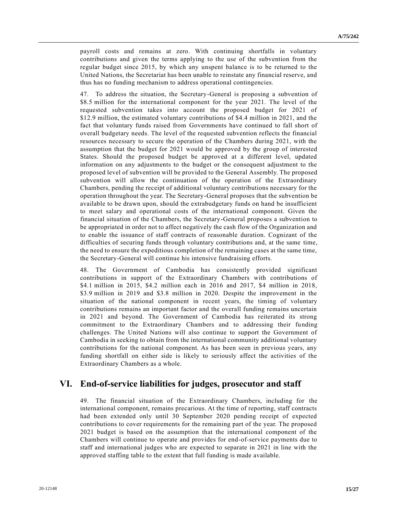payroll costs and remains at zero. With continuing shortfalls in voluntary contributions and given the terms applying to the use of the subvention from the regular budget since 2015, by which any unspent balance is to be returned to the United Nations, the Secretariat has been unable to reinstate any financial reserve, and thus has no funding mechanism to address operational contingencies.

47. To address the situation, the Secretary-General is proposing a subvention of \$8.5 million for the international component for the year 2021. The level of the requested subvention takes into account the proposed budget for 2021 of \$12.9 million, the estimated voluntary contributions of \$4.4 million in 2021, and the fact that voluntary funds raised from Governments have continued to fall short of overall budgetary needs. The level of the requested subvention reflects the financial resources necessary to secure the operation of the Chambers during 2021, with the assumption that the budget for 2021 would be approved by the group of interested States. Should the proposed budget be approved at a different level, updated information on any adjustments to the budget or the consequent adjustment to the proposed level of subvention will be provided to the General Assembly. The proposed subvention will allow the continuation of the operation of the Extraordinary Chambers, pending the receipt of additional voluntary contributions necessary for the operation throughout the year. The Secretary-General proposes that the subvention be available to be drawn upon, should the extrabudgetary funds on hand be insufficient to meet salary and operational costs of the international component. Given the financial situation of the Chambers, the Secretary-General proposes a subvention to be appropriated in order not to affect negatively the cash flow of the Organization and to enable the issuance of staff contracts of reasonable duration. Cognizant of the difficulties of securing funds through voluntary contributions and, at the same time, the need to ensure the expeditious completion of the remaining cases at the same time, the Secretary-General will continue his intensive fundraising efforts.

48. The Government of Cambodia has consistently provided significant contributions in support of the Extraordinary Chambers with contributions of \$4.1 million in 2015, \$4.2 million each in 2016 and 2017, \$4 million in 2018, \$3.9 million in 2019 and \$3.8 million in 2020. Despite the improvement in the situation of the national component in recent years, the timing of voluntary contributions remains an important factor and the overall funding remains uncertain in 2021 and beyond. The Government of Cambodia has reiterated its strong commitment to the Extraordinary Chambers and to addressing their funding challenges. The United Nations will also continue to support the Government of Cambodia in seeking to obtain from the international community additional voluntary contributions for the national component. As has been seen in previous years, any funding shortfall on either side is likely to seriously affect the activities of the Extraordinary Chambers as a whole.

## **VI. End-of-service liabilities for judges, prosecutor and staff**

49. The financial situation of the Extraordinary Chambers, including for the international component, remains precarious. At the time of reporting, staff contracts had been extended only until 30 September 2020 pending receipt of expected contributions to cover requirements for the remaining part of the year. The proposed 2021 budget is based on the assumption that the international component of the Chambers will continue to operate and provides for end-of-service payments due to staff and international judges who are expected to separate in 2021 in line with the approved staffing table to the extent that full funding is made available.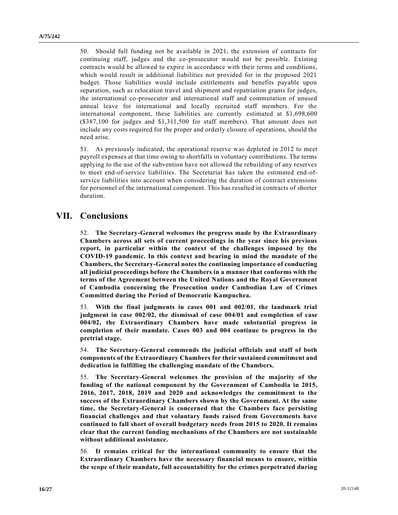50. Should full funding not be available in 2021, the extension of contracts for continuing staff, judges and the co-prosecutor would not be possible. Existing contracts would be allowed to expire in accordance with their terms and conditions, which would result in additional liabilities not provided for in the proposed 2021 budget. Those liabilities would include entitlements and benefits payable upon separation, such as relocation travel and shipment and repatriation grants for judges, the international co-prosecutor and international staff and commutation of unused annual leave for international and locally recruited staff members. For the international component, these liabilities are currently estimated at \$1,698,600 (\$387,100 for judges and \$1,311,500 for staff members). That amount does not include any costs required for the proper and orderly closure of operations, should the need arise.

51. As previously indicated, the operational reserve was depleted in 2012 to meet payroll expenses at that time owing to shortfalls in voluntary contributions. The terms applying to the use of the subvention have not allowed the rebuilding of any reserves to meet end-of-service liabilities. The Secretariat has taken the estimated end-ofservice liabilities into account when considering the duration of contract extensions for personnel of the international component. This has resulted in contracts of shorter duration.

## **VII. Conclusions**

52. **The Secretary-General welcomes the progress made by the Extraordinary Chambers across all sets of current proceedings in the year since his previous report, in particular within the context of the challenges imposed by the COVID-19 pandemic. In this context and bearing in mind the mandate of the Chambers, the Secretary-General notes the continuing importance of conducting all judicial proceedings before the Chambers in a manner that conforms with the terms of the Agreement between the United Nations and the Royal Government of Cambodia concerning the Prosecution under Cambodian Law of Crimes Committed during the Period of Democratic Kampuchea.**

53. **With the final judgments in cases 001 and 002/01, the landmark trial judgment in case 002/02, the dismissal of case 004/01 and completion of case 004/02, the Extraordinary Chambers have made substantial progress in completion of their mandate. Cases 003 and 004 continue to progress in the pretrial stage.**

54. **The Secretary-General commends the judicial officials and staff of both components of the Extraordinary Chambers for their sustained commitment and dedication in fulfilling the challenging mandate of the Chambers.**

55. **The Secretary-General welcomes the provision of the majority of the funding of the national component by the Government of Cambodia in 2015, 2016, 2017, 2018, 2019 and 2020 and acknowledges the commitment to the success of the Extraordinary Chambers shown by the Government. At the same time, the Secretary-General is concerned that the Chambers face persisting financial challenges and that voluntary funds raised from Governments have continued to fall short of overall budgetary needs from 2015 to 2020. It remains clear that the current funding mechanisms of the Chambers are not sustainable without additional assistance.**

56. **It remains critical for the international community to ensure that the Extraordinary Chambers have the necessary financial means to ensure, within the scope of their mandate, full accountability for the crimes perpetrated during**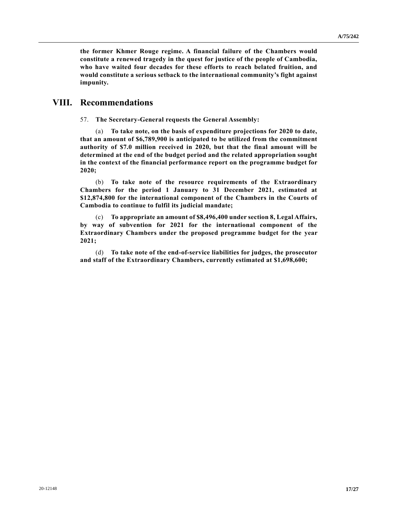**the former Khmer Rouge regime. A financial failure of the Chambers would constitute a renewed tragedy in the quest for justice of the people of Cambodia, who have waited four decades for these efforts to reach belated fruition, and would constitute a serious setback to the international community's fight against impunity.**

## **VIII. Recommendations**

57. **The Secretary-General requests the General Assembly:**

(a) **To take note, on the basis of expenditure projections for 2020 to date, that an amount of \$6,789,900 is anticipated to be utilized from the commitment authority of \$7.0 million received in 2020, but that the final amount will be determined at the end of the budget period and the related appropriation sought in the context of the financial performance report on the programme budget for 2020;**

(b) **To take note of the resource requirements of the Extraordinary Chambers for the period 1 January to 31 December 2021, estimated at \$12,874,800 for the international component of the Chambers in the Courts of Cambodia to continue to fulfil its judicial mandate;**

(c) **To appropriate an amount of \$8,496,400 under section 8, Legal Affairs, by way of subvention for 2021 for the international component of the Extraordinary Chambers under the proposed programme budget for the year 2021;**

(d) **To take note of the end-of-service liabilities for judges, the prosecutor and staff of the Extraordinary Chambers, currently estimated at \$1,698,600;**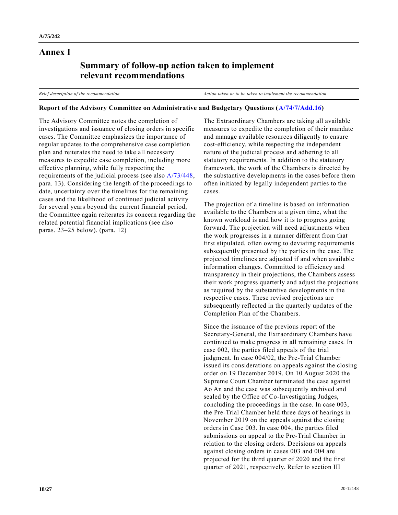### **Annex I**

## **Summary of follow-up action taken to implement relevant recommendations**

*Brief description of the recommendation Action taken or to be taken to implement the recommendation*

### **Report of the Advisory Committee on Administrative and Budgetary Questions [\(A/74/7/Add.16\)](https://undocs.org/en/A/74/7/Add.16)**

The Advisory Committee notes the completion of investigations and issuance of closing orders in specific cases. The Committee emphasizes the importance of regular updates to the comprehensive case completion plan and reiterates the need to take all necessary measures to expedite case completion, including more effective planning, while fully respecting the requirements of the judicial process (see also [A/73/448,](https://undocs.org/en/A/73/448) para. 13). Considering the length of the proceedings to date, uncertainty over the timelines for the remaining cases and the likelihood of continued judicial activity for several years beyond the current financial period, the Committee again reiterates its concern regarding the related potential financial implications (see also paras. 23–25 below). (para. 12)

The Extraordinary Chambers are taking all available measures to expedite the completion of their mandate and manage available resources diligently to ensure cost-efficiency, while respecting the independent nature of the judicial process and adhering to all statutory requirements. In addition to the statutory framework, the work of the Chambers is directed by the substantive developments in the cases before them often initiated by legally independent parties to the cases.

The projection of a timeline is based on information available to the Chambers at a given time, what the known workload is and how it is to progress going forward. The projection will need adjustments when the work progresses in a manner different from that first stipulated, often owing to deviating requirements subsequently presented by the parties in the case. The projected timelines are adjusted if and when available information changes. Committed to efficiency and transparency in their projections, the Chambers assess their work progress quarterly and adjust the projections as required by the substantive developments in the respective cases. These revised projections are subsequently reflected in the quarterly updates of the Completion Plan of the Chambers.

Since the issuance of the previous report of the Secretary-General, the Extraordinary Chambers have continued to make progress in all remaining cases. In case 002, the parties filed appeals of the trial judgment. In case 004/02, the Pre-Trial Chamber issued its considerations on appeals against the closing order on 19 December 2019. On 10 August 2020 the Supreme Court Chamber terminated the case against Ao An and the case was subsequently archived and sealed by the Office of Co-Investigating Judges, concluding the proceedings in the case. In case 003, the Pre-Trial Chamber held three days of hearings in November 2019 on the appeals against the closing orders in Case 003. In case 004, the parties filed submissions on appeal to the Pre-Trial Chamber in relation to the closing orders. Decisions on appeals against closing orders in cases 003 and 004 are projected for the third quarter of 2020 and the first quarter of 2021, respectively. Refer to section III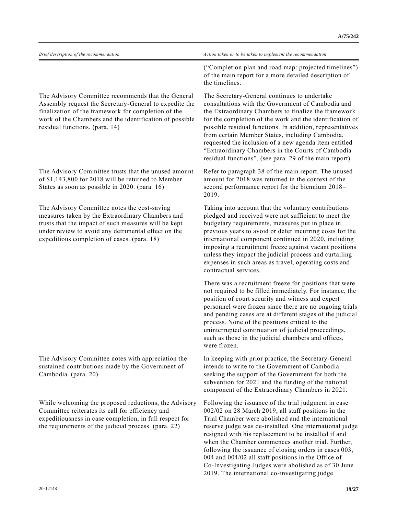| Brief description of the recommendation                                                                                                                                                                                                                          | Action taken or to be taken to implement the recommendation                                                                                                                                                                                                                                                                                                                                                                                                                                                         |  |  |  |  |
|------------------------------------------------------------------------------------------------------------------------------------------------------------------------------------------------------------------------------------------------------------------|---------------------------------------------------------------------------------------------------------------------------------------------------------------------------------------------------------------------------------------------------------------------------------------------------------------------------------------------------------------------------------------------------------------------------------------------------------------------------------------------------------------------|--|--|--|--|
|                                                                                                                                                                                                                                                                  | ("Completion plan and road map: projected timelines")<br>of the main report for a more detailed description of<br>the timelines.                                                                                                                                                                                                                                                                                                                                                                                    |  |  |  |  |
| The Advisory Committee recommends that the General<br>Assembly request the Secretary-General to expedite the<br>finalization of the framework for completion of the<br>work of the Chambers and the identification of possible<br>residual functions. (para. 14) | The Secretary-General continues to undertake<br>consultations with the Government of Cambodia and<br>the Extraordinary Chambers to finalize the framework<br>for the completion of the work and the identification of<br>possible residual functions. In addition, representatives<br>from certain Member States, including Cambodia,<br>requested the inclusion of a new agenda item entitled<br>"Extraordinary Chambers in the Courts of Cambodia -<br>residual functions". (see para. 29 of the main report).    |  |  |  |  |
| The Advisory Committee trusts that the unused amount<br>of \$1,143,800 for 2018 will be returned to Member<br>States as soon as possible in 2020. (para. 16)                                                                                                     | Refer to paragraph 38 of the main report. The unused<br>amount for 2018 was returned in the context of the<br>second performance report for the biennium 2018-<br>2019.                                                                                                                                                                                                                                                                                                                                             |  |  |  |  |
| The Advisory Committee notes the cost-saving<br>measures taken by the Extraordinary Chambers and<br>trusts that the impact of such measures will be kept<br>under review to avoid any detrimental effect on the<br>expeditious completion of cases. (para. 18)   | Taking into account that the voluntary contributions<br>pledged and received were not sufficient to meet the<br>budgetary requirements, measures put in place in<br>previous years to avoid or defer incurring costs for the<br>international component continued in 2020, including<br>imposing a recruitment freeze against vacant positions<br>unless they impact the judicial process and curtailing<br>expenses in such areas as travel, operating costs and<br>contractual services.                          |  |  |  |  |
|                                                                                                                                                                                                                                                                  | There was a recruitment freeze for positions that were<br>not required to be filled immediately. For instance, the<br>position of court security and witness and expert<br>personnel were frozen since there are no ongoing trials<br>and pending cases are at different stages of the judicial<br>process. None of the positions critical to the<br>uninterrupted continuation of judicial proceedings,<br>such as those in the judicial chambers and offices,<br>were frozen.                                     |  |  |  |  |
| The Advisory Committee notes with appreciation the<br>sustained contributions made by the Government of<br>Cambodia. (para. 20)                                                                                                                                  | In keeping with prior practice, the Secretary-General<br>intends to write to the Government of Cambodia<br>seeking the support of the Government for both the<br>subvention for 2021 and the funding of the national<br>component of the Extraordinary Chambers in 2021.                                                                                                                                                                                                                                            |  |  |  |  |
| While welcoming the proposed reductions, the Advisory<br>Committee reiterates its call for efficiency and<br>expeditiousness in case completion, in full respect for<br>the requirements of the judicial process. (para. 22)                                     | Following the issuance of the trial judgment in case<br>002/02 on 28 March 2019, all staff positions in the<br>Trial Chamber were abolished and the international<br>reserve judge was de-installed. One international judge<br>resigned with his replacement to be installed if and<br>when the Chamber commences another trial. Further,<br>following the issuance of closing orders in cases 003,<br>004 and 004/02 all staff positions in the Office of<br>Co-Investigating Judges were abolished as of 30 June |  |  |  |  |

2019. The international co-investigating judge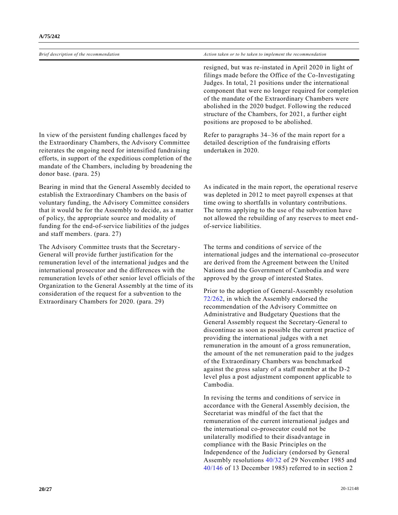resigned, but was re-instated in April 2020 in light of filings made before the Office of the Co-Investigating Judges. In total, 21 positions under the international component that were no longer required for completion of the mandate of the Extraordinary Chambers were abolished in the 2020 budget. Following the reduced structure of the Chambers, for 2021, a further eight positions are proposed to be abolished.

Refer to paragraphs 34–36 of the main report for a detailed description of the fundraising efforts undertaken in 2020.

In view of the persistent funding challenges faced by the Extraordinary Chambers, the Advisory Committee reiterates the ongoing need for intensified fundraising efforts, in support of the expeditious completion of the mandate of the Chambers, including by broadening the donor base. (para. 25)

Bearing in mind that the General Assembly decided to establish the Extraordinary Chambers on the basis of voluntary funding, the Advisory Committee considers that it would be for the Assembly to decide, as a matter of policy, the appropriate source and modality of funding for the end-of-service liabilities of the judges and staff members. (para. 27)

The Advisory Committee trusts that the Secretary-General will provide further justification for the remuneration level of the international judges and the international prosecutor and the differences with the remuneration levels of other senior level officials of the Organization to the General Assembly at the time of its consideration of the request for a subvention to the Extraordinary Chambers for 2020. (para. 29)

As indicated in the main report, the operational reserve was depleted in 2012 to meet payroll expenses at that time owing to shortfalls in voluntary contributions. The terms applying to the use of the subvention have not allowed the rebuilding of any reserves to meet endof-service liabilities.

The terms and conditions of service of the international judges and the international co-prosecutor are derived from the Agreement between the United Nations and the Government of Cambodia and were approved by the group of interested States.

Prior to the adoption of General-Assembly resolution [72/262,](https://undocs.org/en/A/RES/72/262) in which the Assembly endorsed the recommendation of the Advisory Committee on Administrative and Budgetary Questions that the General Assembly request the Secretary-General to discontinue as soon as possible the current practice of providing the international judges with a net remuneration in the amount of a gross remuneration, the amount of the net remuneration paid to the judges of the Extraordinary Chambers was benchmarked against the gross salary of a staff member at the D-2 level plus a post adjustment component applicable to Cambodia.

In revising the terms and conditions of service in accordance with the General Assembly decision, the Secretariat was mindful of the fact that the remuneration of the current international judges and the international co-prosecutor could not be unilaterally modified to their disadvantage in compliance with the Basic Principles on the Independence of the Judiciary (endorsed by General Assembly resolutions [40/32](https://undocs.org/en/A/RES/40/32) of 29 November 1985 and [40/146](https://undocs.org/en/A/RES/40/146) of 13 December 1985) referred to in section 2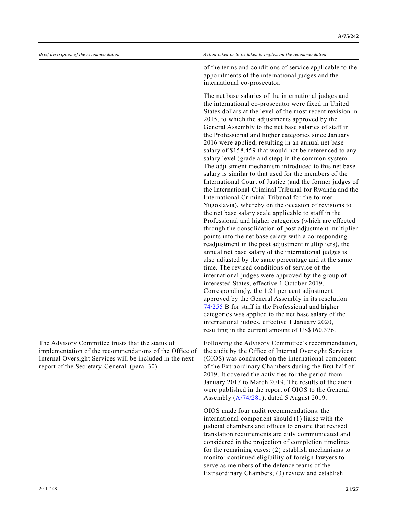The Advisory Committee trusts that the status of

report of the Secretary-General. (para. 30)

implementation of the recommendations of the Office of Internal Oversight Services will be included in the next

of the terms and conditions of service applicable to the appointments of the international judges and the international co-prosecutor.

The net base salaries of the international judges and the international co-prosecutor were fixed in United States dollars at the level of the most recent revision in 2015, to which the adjustments approved by the General Assembly to the net base salaries of staff in the Professional and higher categories since January 2016 were applied, resulting in an annual net base salary of \$158,459 that would not be referenced to any salary level (grade and step) in the common system. The adjustment mechanism introduced to this net base salary is similar to that used for the members of the International Court of Justice (and the former judges of the International Criminal Tribunal for Rwanda and the International Criminal Tribunal for the former Yugoslavia), whereby on the occasion of revisions to the net base salary scale applicable to staff in the Professional and higher categories (which are effected through the consolidation of post adjustment multiplier points into the net base salary with a corresponding readjustment in the post adjustment multipliers), the annual net base salary of the international judges is also adjusted by the same percentage and at the same time. The revised conditions of service of the international judges were approved by the group of interested States, effective 1 October 2019. Correspondingly, the 1.21 per cent adjustment approved by the General Assembly in its resolution [74/255](https://undocs.org/en/A/RES/74/255) B for staff in the Professional and higher categories was applied to the net base salary of the international judges, effective 1 January 2020, resulting in the current amount of US\$160,376.

Following the Advisory Committee's recommendation, the audit by the Office of Internal Oversight Services (OIOS) was conducted on the international component of the Extraordinary Chambers during the first half of 2019. It covered the activities for the period from January 2017 to March 2019. The results of the audit were published in the report of OIOS to the General Assembly [\(A/74/281\)](https://undocs.org/en/A/74/281), dated 5 August 2019.

OIOS made four audit recommendations: the international component should (1) liaise with the judicial chambers and offices to ensure that revised translation requirements are duly communicated and considered in the projection of completion timelines for the remaining cases; (2) establish mechanisms to monitor continued eligibility of foreign lawyers to serve as members of the defence teams of the Extraordinary Chambers; (3) review and establish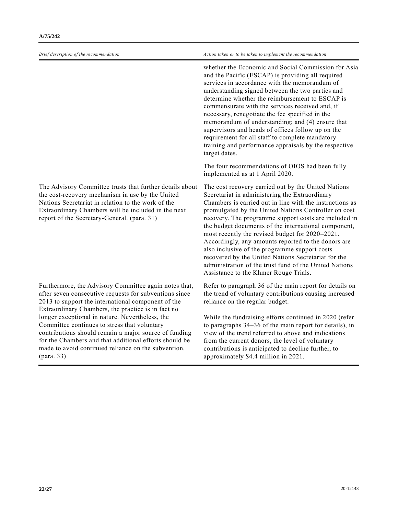*Brief description of the recommendation Action taken or to be taken to implement the recommendation* whether the Economic and Social Commission for Asia and the Pacific (ESCAP) is providing all required services in accordance with the memorandum of understanding signed between the two parties and determine whether the reimbursement to ESCAP is commensurate with the services received and, if necessary, renegotiate the fee specified in the memorandum of understanding; and (4) ensure that supervisors and heads of offices follow up on the requirement for all staff to complete mandatory training and performance appraisals by the respective target dates. The four recommendations of OIOS had been fully implemented as at 1 April 2020. The Advisory Committee trusts that further details about the cost-recovery mechanism in use by the United Nations Secretariat in relation to the work of the Extraordinary Chambers will be included in the next report of the Secretary-General. (para. 31) The cost recovery carried out by the United Nations Secretariat in administering the Extraordinary Chambers is carried out in line with the instructions as promulgated by the United Nations Controller on cost recovery. The programme support costs are included in the budget documents of the international component, most recently the revised budget for 2020–2021. Accordingly, any amounts reported to the donors are also inclusive of the programme support costs recovered by the United Nations Secretariat for the administration of the trust fund of the United Nations Assistance to the Khmer Rouge Trials. Furthermore, the Advisory Committee again notes that, after seven consecutive requests for subventions since 2013 to support the international component of the Extraordinary Chambers, the practice is in fact no longer exceptional in nature. Nevertheless, the Committee continues to stress that voluntary contributions should remain a major source of funding for the Chambers and that additional efforts should be made to avoid continued reliance on the subvention. (para. 33) Refer to paragraph 36 of the main report for details on the trend of voluntary contributions causing increased reliance on the regular budget. While the fundraising efforts continued in 2020 (refer to paragraphs 34–36 of the main report for details), in view of the trend referred to above and indications from the current donors, the level of voluntary contributions is anticipated to decline further, to approximately \$4.4 million in 2021.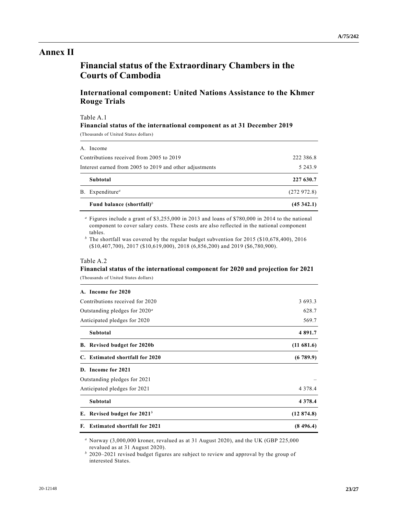## **Annex II**

## **Financial status of the Extraordinary Chambers in the Courts of Cambodia**

### **International component: United Nations Assistance to the Khmer Rouge Trials**

Table A.1

#### **Financial status of the international component as at 31 December 2019**

(Thousands of United States dollars)

| Fund balance (shortfall) <sup>b</sup>                   | (45342.1)  |
|---------------------------------------------------------|------------|
| B. Expenditure <sup>a</sup>                             | (272972.8) |
| Subtotal                                                | 227 630.7  |
| Interest earned from 2005 to 2019 and other adjustments | 5 2 4 3 .9 |
| Contributions received from 2005 to 2019                | 222 386.8  |
| A. Income                                               |            |

*<sup>a</sup>* Figures include a grant of \$3,255,000 in 2013 and loans of \$780,000 in 2014 to the national component to cover salary costs. These costs are also reflected in the national component tables.

*<sup>b</sup>* The shortfall was covered by the regular budget subvention for 2015 (\$10,678,400), 2016 (\$10,407,700), 2017 (\$10,619,000), 2018 (6,856,200) and 2019 (\$6,780,900).

#### Table A.2

### **Financial status of the international component for 2020 and projection for 2021** (Thousands of United States dollars)

| A. Income for 2020 |  |
|--------------------|--|

| Contributions received for 2020        | 3 693.3    |
|----------------------------------------|------------|
| Outstanding pledges for $2020^{\circ}$ | 628.7      |
| Anticipated pledges for 2020           | 569.7      |
| Subtotal                               | 4 891.7    |
| B. Revised budget for 2020b            | (11681.6)  |
| C. Estimated shortfall for 2020        | (6789.9)   |
| D. Income for 2021                     |            |
| Outstanding pledges for 2021           |            |
| Anticipated pledges for 2021           | 4 3 7 8 .4 |
| Subtotal                               | 4 3 7 8 .4 |
| E. Revised budget for $2021b$          | (12874.8)  |
| F. Estimated shortfall for 2021        | (8496.4)   |

*<sup>a</sup>* Norway (3,000,000 kroner, revalued as at 31 August 2020), and the UK (GBP 225,000 revalued as at 31 August 2020).

*<sup>b</sup>* 2020–2021 revised budget figures are subject to review and approval by the group of interested States.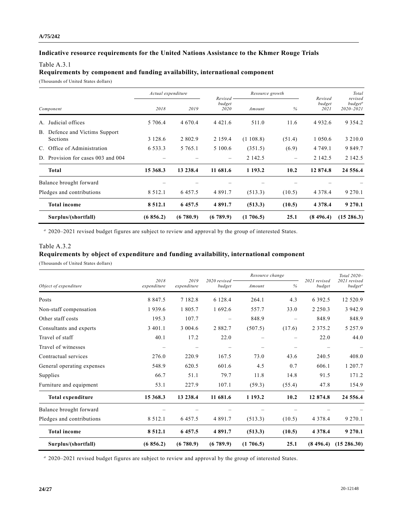### **Indicative resource requirements for the United Nations Assistance to the Khmer Rouge Trials**

#### Table A.3.1

#### **Requirements by component and funding availability, international component**

(Thousands of United States dollars)

|           |                                                   |             | Actual expenditure |                | Resource growth<br>$Revised -$ |        |                           | Total<br>revised                     |
|-----------|---------------------------------------------------|-------------|--------------------|----------------|--------------------------------|--------|---------------------------|--------------------------------------|
| Component |                                                   | 2018        | 2019               | budget<br>2020 | Amount                         | %      | Revised<br>budget<br>2021 | budget <sup>a</sup><br>$2020 - 2021$ |
| A.        | Judicial offices                                  | 5 706.4     | 4 670.4            | 4 4 2 1 .6     | 511.0                          | 11.6   | 4 9 3 2 . 6               | 9 3 5 4 . 2                          |
|           | B. Defence and Victims Support<br><b>Sections</b> | 3 1 2 8 . 6 | 2 802.9            | 2 1 5 9 .4     | (1108.8)                       | (51.4) | 1 0 5 0 . 6               | 3 2 1 0 .0                           |
| C.        | Office of Administration                          | 6 5 3 3 . 3 | 5 765.1            | 5 100.6        | (351.5)                        | (6.9)  | 4 749.1                   | 9 8 4 9 . 7                          |
|           | D. Provision for cases 003 and 004                |             |                    |                | 2 142.5                        |        | 2 142.5                   | 2 142.5                              |
|           | <b>Total</b>                                      | 15 368.3    | 13 238.4           | 11 681.6       | 1 193.2                        | 10.2   | 12 874.8                  | 24 556.4                             |
|           | Balance brought forward                           |             |                    |                |                                |        |                           |                                      |
|           | Pledges and contributions                         | 8 5 1 2 . 1 | 6457.5             | 4 8 9 1 . 7    | (513.3)                        | (10.5) | 4 3 7 8 .4                | 9 2 7 0 .1                           |
|           | <b>Total income</b>                               | 8 5 1 2 .1  | 6 457.5            | 4891.7         | (513.3)                        | (10.5) | 4 3 7 8 .4                | 9 2 7 0 .1                           |
|           | Surplus/(shortfall)                               | (6856.2)    | (6780.9)           | (6789.9)       | (1706.5)                       | 25.1   | (8496.4)                  | $(15\ 286.3)$                        |

*<sup>a</sup>* 2020–2021 revised budget figures are subject to review and approval by the group of interested States.

### Table A.3.2

## **Requirements by object of expenditure and funding availability, international component**

(Thousands of United States dollars)

|                            | 2018<br>expenditure | 2019<br>expenditure | $2020$ revised $-$ |          | Resource change |                        | Total 2020-                               |
|----------------------------|---------------------|---------------------|--------------------|----------|-----------------|------------------------|-------------------------------------------|
| Object of expenditure      |                     |                     | budget             | Amount   | %               | 2021 revised<br>budget | 2021 revised<br><i>budget<sup>a</sup></i> |
| Posts                      | 8 8 4 7 . 5         | 7 1 8 2 . 8         | 6 1 2 8 . 4        | 264.1    | 4.3             | 6 3 9 2.5              | 12 520.9                                  |
| Non-staff compensation     | 1939.6              | 1 805.7             | 1 692.6            | 557.7    | 33.0            | 2 2 5 0 . 3            | 3 942.9                                   |
| Other staff costs          | 195.3               | 107.7               |                    | 848.9    |                 | 848.9                  | 848.9                                     |
| Consultants and experts    | 3 4 0 1 .1          | 3 0 0 4 . 6         | 2 8 8 2 . 7        | (507.5)  | (17.6)          | 2 3 7 5 . 2            | 5 2 5 7 . 9                               |
| Travel of staff            | 40.1                | 17.2                | 22.0               |          |                 | 22.0                   | 44.0                                      |
| Travel of witnesses        |                     |                     |                    |          |                 |                        |                                           |
| Contractual services       | 276.0               | 220.9               | 167.5              | 73.0     | 43.6            | 240.5                  | 408.0                                     |
| General operating expenses | 548.9               | 620.5               | 601.6              | 4.5      | 0.7             | 606.1                  | 1 207.7                                   |
| Supplies                   | 66.7                | 51.1                | 79.7               | 11.8     | 14.8            | 91.5                   | 171.2                                     |
| Furniture and equipment    | 53.1                | 227.9               | 107.1              | (59.3)   | (55.4)          | 47.8                   | 154.9                                     |
| Total expenditure          | 15 368.3            | 13 238.4            | 11 681.6           | 1 193.2  | 10.2            | 12 874.8               | 24 556.4                                  |
| Balance brought forward    |                     |                     |                    |          |                 |                        |                                           |
| Pledges and contributions  | 8 5 1 2 . 1         | 6 4 5 7 . 5         | 4 8 9 1 . 7        | (513.3)  | (10.5)          | 4 3 7 8 . 4            | 9 2 7 0 . 1                               |
| <b>Total income</b>        | 8 5 1 2 . 1         | 6 457.5             | 4 891.7            | (513.3)  | (10.5)          | 4 3 7 8 .4             | 9 2 7 0 .1                                |
| Surplus/(shortfall)        | (6856.2)            | (6780.9)            | (6789.9)           | (1706.5) | 25.1            | (8, 496.4)             | $(15\ 286.30)$                            |

*<sup>a</sup>* 2020–2021 revised budget figures are subject to review and approval by the group of interested States.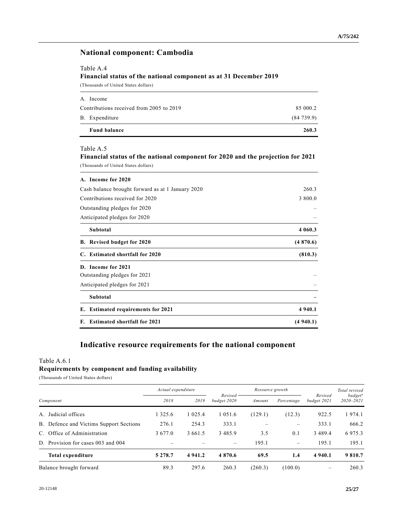### **National component: Cambodia**

### Table A.4

**Financial status of the national component as at 31 December 2019**

(Thousands of United States dollars)

| <b>Fund balance</b>                      | 260.3     |
|------------------------------------------|-----------|
| B. Expenditure                           | (84739.9) |
| Contributions received from 2005 to 2019 | 85 000.2  |
| A. Income                                |           |

#### Table A.5

### **Financial status of the national component for 2020 and the projection for 2021** (Thousands of United States dollars)

| A. Income for 2020<br>Cash balance brought forward as at 1 January 2020<br>260.3<br>Contributions received for 2020<br>3 800.0<br>Outstanding pledges for 2020<br>Anticipated pledges for 2020<br>Subtotal<br>B. Revised budget for 2020<br>C. Estimated shortfall for 2020<br>D. Income for 2021<br>Outstanding pledges for 2021<br>Anticipated pledges for 2021<br>Subtotal<br>E. Estimated requirements for 2021 |          |
|---------------------------------------------------------------------------------------------------------------------------------------------------------------------------------------------------------------------------------------------------------------------------------------------------------------------------------------------------------------------------------------------------------------------|----------|
|                                                                                                                                                                                                                                                                                                                                                                                                                     |          |
|                                                                                                                                                                                                                                                                                                                                                                                                                     |          |
|                                                                                                                                                                                                                                                                                                                                                                                                                     | 4 060.3  |
|                                                                                                                                                                                                                                                                                                                                                                                                                     | (4870.6) |
|                                                                                                                                                                                                                                                                                                                                                                                                                     | (810.3)  |
|                                                                                                                                                                                                                                                                                                                                                                                                                     |          |
|                                                                                                                                                                                                                                                                                                                                                                                                                     |          |
|                                                                                                                                                                                                                                                                                                                                                                                                                     |          |
|                                                                                                                                                                                                                                                                                                                                                                                                                     |          |
|                                                                                                                                                                                                                                                                                                                                                                                                                     | 4 940.1  |
| F. Estimated shortfall for 2021                                                                                                                                                                                                                                                                                                                                                                                     | (4940.1) |

## **Indicative resource requirements for the national component**

### Table A.6.1 **Requirements by component and funding availability**

(Thousands of United States dollars)

|           |                                         | Actual expenditure |                         |         | Resource growth |                                                                           |                                            | Total revised |
|-----------|-----------------------------------------|--------------------|-------------------------|---------|-----------------|---------------------------------------------------------------------------|--------------------------------------------|---------------|
| Component |                                         | 2018<br>2019       | Revised-<br>budget 2020 | Amount  | Percentage      | Revised<br>budget 2021                                                    | <i>budget<sup>a</sup></i><br>$2020 - 2021$ |               |
| A.        | Judicial offices                        | 1 325.6            | 1 0 2 5 . 4             | 1 051.6 | (129.1)         | (12.3)                                                                    | 922.5                                      | 974.1         |
|           | B. Defence and Victims Support Sections | 276.1              | 254.3                   | 333.1   |                 | $\hspace{1.0cm} \rule{1.5cm}{0.15cm} \hspace{1.0cm} \rule{1.5cm}{0.15cm}$ | 333.1                                      | 666.2         |
|           | C. Office of Administration             | 3 677.0            | 3 661.5                 | 3485.9  | 3.5             | 0.1                                                                       | 3489.4                                     | 6975.3        |
|           | D. Provision for cases 003 and 004      |                    |                         |         | 195.1           | $\hspace{0.1mm}-\hspace{0.1mm}$                                           | 195.1                                      | 195.1         |
|           | <b>Total expenditure</b>                | 5 2 7 8 .7         | 4 9 4 1 . 2             | 4870.6  | 69.5            | 1.4                                                                       | 4 9 4 0 .1                                 | 9 810.7       |
|           | Balance brought forward                 | 89.3               | 297.6                   | 260.3   | (260.3)         | (100.0)                                                                   |                                            | 260.3         |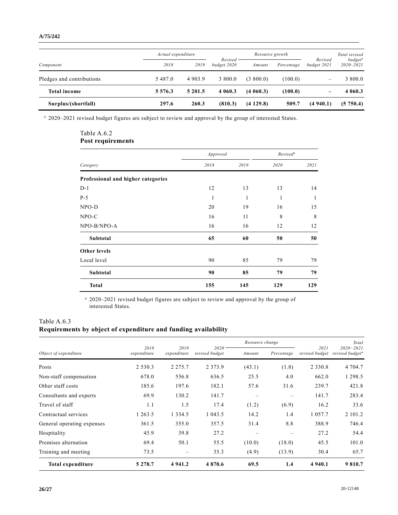#### **A/75/242**

|                           | Actual expenditure |            |                         | Resource growth |            |                          | Total revised                              |
|---------------------------|--------------------|------------|-------------------------|-----------------|------------|--------------------------|--------------------------------------------|
| Component                 | 2018               | 2019       | Revised-<br>budget 2020 | Amount          | Percentage | Revised<br>budget 2021   | <i>budget<sup>a</sup></i><br>$2020 - 2021$ |
| Pledges and contributions | 5 4 8 7 .0         | 4 9 0 3 .9 | 3 800.0                 | (3,800.0)       | (100.0)    | $\overline{\phantom{0}}$ | 3 800.0                                    |
| <b>Total income</b>       | 5 5 7 6 .3         | 5 201.5    | 4 0 6 0 .3              | (4060.3)        | (100.0)    | -                        | 4 0 6 0 . 3                                |
| Surplus/(shortfall)       | 297.6              | 260.3      | (810.3)                 | (4129.8)        | 509.7      | (4940.1)                 | (5750.4)                                   |

*<sup>a</sup>* 2020–2021 revised budget figures are subject to review and approval by the group of interested States.

### Table A.6.2 **Post requirements**

|                                    | Approved |      | Revised <sup>a</sup> |              |  |
|------------------------------------|----------|------|----------------------|--------------|--|
| Category                           | 2018     | 2019 | 2020                 | 2021         |  |
| Professional and higher categories |          |      |                      |              |  |
| $D-1$                              | 12       | 13   | 13                   | 14           |  |
| $P-5$                              | 1        | 1    | 1                    | $\mathbf{1}$ |  |
| $NPO-D$                            | 20       | 19   | 16                   | 15           |  |
| $NPO-C$                            | 16       | 11   | 8                    | 8            |  |
| NPO-B/NPO-A                        | 16       | 16   | 12                   | 12           |  |
| Subtotal                           | 65       | 60   | 50                   | 50           |  |
| <b>Other levels</b>                |          |      |                      |              |  |
| Local level                        | 90       | 85   | 79                   | 79           |  |
| Subtotal                           | 90       | 85   | 79                   | 79           |  |
| <b>Total</b>                       | 155      | 145  | 129                  | 129          |  |

*<sup>a</sup>* 2020–2021 revised budget figures are subject to review and approval by the group of interested States.

## Table A.6.3

## **Requirements by object of expenditure and funding availability**

|                            |                     | 2019<br>expenditure |                            | Resource change |                          |                        | Total                                        |
|----------------------------|---------------------|---------------------|----------------------------|-----------------|--------------------------|------------------------|----------------------------------------------|
| Object of expenditure      | 2018<br>expenditure |                     | $2020 -$<br>revised budget | Amount          | Percentage               | 2021<br>revised budget | $2020 - 2021$<br>revised budget <sup>a</sup> |
| Posts                      | 2 5 3 0 . 3         | 2 2 7 5 . 7         | 2 3 7 3 .9                 | (43.1)          | (1.8)                    | 2 3 3 0 . 8            | 4 704.7                                      |
| Non-staff compensation     | 678.0               | 556.8               | 636.5                      | 25.5            | 4.0                      | 662.0                  | 1 298.5                                      |
| Other staff costs          | 185.6               | 197.6               | 182.1                      | 57.6            | 31.6                     | 239.7                  | 421.8                                        |
| Consultants and experts    | 69.9                | 130.2               | 141.7                      |                 | $\overline{\phantom{m}}$ | 141.7                  | 283.4                                        |
| Travel of staff            | 1.1                 | 1.5                 | 17.4                       | (1.2)           | (6.9)                    | 16.2                   | 33.6                                         |
| Contractual services       | 1 263.5             | 1 3 3 4 . 5         | 1 043.5                    | 14.2            | 1.4                      | 1 0 5 7 . 7            | 2 101.2                                      |
| General operating expenses | 361.5               | 355.0               | 357.5                      | 31.4            | 8.8                      | 388.9                  | 746.4                                        |
| Hospitality                | 45.9                | 39.8                | 27.2                       |                 |                          | 27.2                   | 54.4                                         |
| Premises alternation       | 69.4                | 50.1                | 55.5                       | (10.0)          | (18.0)                   | 45.5                   | 101.0                                        |
| Training and meeting       | 73.5                | $\qquad \qquad$     | 35.3                       | (4.9)           | (13.9)                   | 30.4                   | 65.7                                         |
| <b>Total expenditure</b>   | 5 2 7 8 .7          | 4 9 4 1.2           | 4 870.6                    | 69.5            | 1.4                      | 4 9 4 0 .1             | 9810.7                                       |